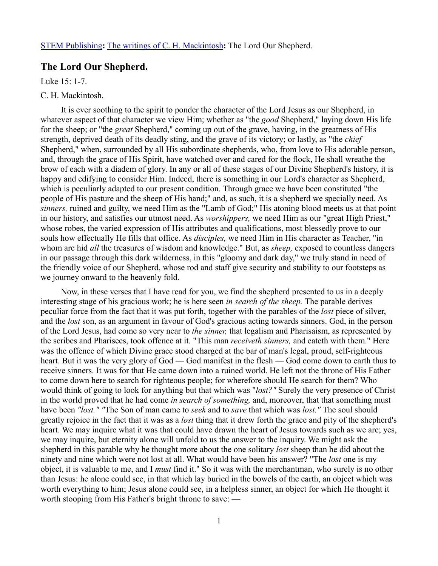## **The Lord Our Shepherd.**

Luke 15: 1-7.

## C. H. Mackintosh.

It is ever soothing to the spirit to ponder the character of the Lord Jesus as our Shepherd, in whatever aspect of that character we view Him; whether as "the *good* Shepherd," laying down His life for the sheep; or "the *great* Shepherd," coming up out of the grave, having, in the greatness of His strength, deprived death of its deadly sting, and the grave of its victory; or lastly, as "the *chief* Shepherd," when, surrounded by all His subordinate shepherds, who, from love to His adorable person, and, through the grace of His Spirit, have watched over and cared for the flock, He shall wreathe the brow of each with a diadem of glory. In any or all of these stages of our Divine Shepherd's history, it is happy and edifying to consider Him. Indeed, there is something in our Lord's character as Shepherd, which is peculiarly adapted to our present condition. Through grace we have been constituted "the people of His pasture and the sheep of His hand;" and, as such, it is a shepherd we specially need. As *sinners,* ruined and guilty, we need Him as the "Lamb of God;" His atoning blood meets us at that point in our history, and satisfies our utmost need. As *worshippers,* we need Him as our "great High Priest," whose robes, the varied expression of His attributes and qualifications, most blessedly prove to our souls how effectually He fills that office. As *disciples,* we need Him in His character as Teacher, "in whom are hid *all* the treasures of wisdom and knowledge." But, as *sheep,* exposed to countless dangers in our passage through this dark wilderness, in this "gloomy and dark day," we truly stand in need of the friendly voice of our Shepherd, whose rod and staff give security and stability to our footsteps as we journey onward to the heavenly fold.

Now, in these verses that I have read for you, we find the shepherd presented to us in a deeply interesting stage of his gracious work; he is here seen *in search of the sheep.* The parable derives peculiar force from the fact that it was put forth, together with the parables of the *lost* piece of silver, and the *lost* son, as an argument in favour of God's gracious acting towards sinners. God, in the person of the Lord Jesus, had come so very near to *the sinner,* that legalism and Pharisaism, as represented by the scribes and Pharisees, took offence at it. "This man *receiveth sinners,* and eateth with them." Here was the offence of which Divine grace stood charged at the bar of man's legal, proud, self-righteous heart. But it was the very glory of God — God manifest in the flesh — God come down to earth thus to receive sinners. It was for that He came down into a ruined world. He left not the throne of His Father to come down here to search for righteous people; for wherefore should He search for them? Who would think of going to look for anything but that which was "*lost?"* Surely the very presence of Christ in the world proved that he had come *in search of something,* and, moreover, that that something must have been *"lost." "*The Son of man came to *seek* and to *save* that which was *lost."* The soul should greatly rejoice in the fact that it was as a *lost* thing that it drew forth the grace and pity of the shepherd's heart. We may inquire what it was that could have drawn the heart of Jesus towards such as we are; yes, we may inquire, but eternity alone will unfold to us the answer to the inquiry. We might ask the shepherd in this parable why he thought more about the one solitary *lost* sheep than he did about the ninety and nine which were not lost at all. What would have been his answer? "The *lost* one is my object, it is valuable to me, and I *must* find it." So it was with the merchantman, who surely is no other than Jesus: he alone could see, in that which lay buried in the bowels of the earth, an object which was worth everything to him; Jesus alone could see, in a helpless sinner, an object for which He thought it worth stooping from His Father's bright throne to save: —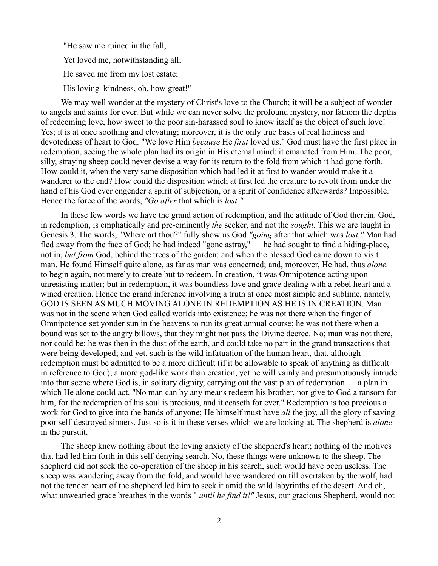"He saw me ruined in the fall, Yet loved me, notwithstanding all; He saved me from my lost estate; His loving kindness, oh, how great!"

We may well wonder at the mystery of Christ's love to the Church; it will be a subject of wonder to angels and saints for ever. But while we can never solve the profound mystery, nor fathom the depths of redeeming love, how sweet to the poor sin-harassed soul to know itself as the object of such love! Yes; it is at once soothing and elevating; moreover, it is the only true basis of real holiness and devotedness of heart to God. "We love Him *because* He *first* loved us." God must have the first place in redemption, seeing the whole plan had its origin in His eternal mind; it emanated from Him. The poor, silly, straying sheep could never devise a way for its return to the fold from which it had gone forth. How could it, when the very same disposition which had led it at first to wander would make it a wanderer to the end? How could the disposition which at first led the creature to revolt from under the hand of his God ever engender a spirit of subjection, or a spirit of confidence afterwards? Impossible. Hence the force of the words, *"Go after* that which is *lost."* 

In these few words we have the grand action of redemption, and the attitude of God therein. God, in redemption, is emphatically and pre-eminently *the* seeker, and not the *sought.* This we are taught in Genesis 3. The words, "Where art thou?" fully show us God *"going* after that which was *lost."* Man had fled away from the face of God; he had indeed "gone astray," — he had sought to find a hiding-place, not in, *but from* God, behind the trees of the garden: and when the blessed God came down to visit man, He found Himself quite alone, as far as man was concerned; and, moreover, He had, thus *alone,* to begin again, not merely to create but to redeem. In creation, it was Omnipotence acting upon unresisting matter; but in redemption, it was boundless love and grace dealing with a rebel heart and a wined creation. Hence the grand inference involving a truth at once most simple and sublime, namely, GOD IS SEEN AS MUCH MOVING ALONE IN REDEMPTION AS HE IS IN CREATION. Man was not in the scene when God called worlds into existence; he was not there when the finger of Omnipotence set yonder sun in the heavens to run its great annual course; he was not there when a bound was set to the angry billows, that they might not pass the Divine decree. No; man was not there, nor could be: he was then in the dust of the earth, and could take no part in the grand transactions that were being developed; and yet, such is the wild infatuation of the human heart, that, although redemption must be admitted to be a more difficult (if it be allowable to speak of anything as difficult in reference to God), a more god-like work than creation, yet he will vainly and presumptuously intrude into that scene where God is, in solitary dignity, carrying out the vast plan of redemption — a plan in which He alone could act. "No man can by any means redeem his brother, nor give to God a ransom for him, for the redemption of his soul is precious, and it ceaseth for ever." Redemption is too precious a work for God to give into the hands of anyone; He himself must have *all* the joy, all the glory of saving poor self-destroyed sinners. Just so is it in these verses which we are looking at. The shepherd is *alone* in the pursuit.

The sheep knew nothing about the loving anxiety of the shepherd's heart; nothing of the motives that had led him forth in this self-denying search. No, these things were unknown to the sheep. The shepherd did not seek the co-operation of the sheep in his search, such would have been useless. The sheep was wandering away from the fold, and would have wandered on till overtaken by the wolf, had not the tender heart of the shepherd led him to seek it amid the wild labyrinths of the desert. And oh, what unwearied grace breathes in the words " *until he find it!"* Jesus, our gracious Shepherd, would not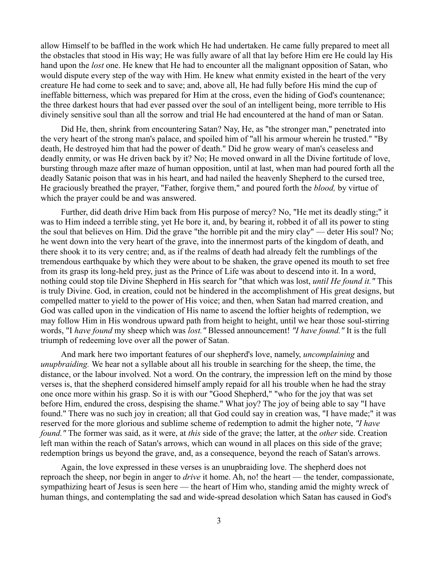allow Himself to be baffled in the work which He had undertaken. He came fully prepared to meet all the obstacles that stood in His way; He was fully aware of all that lay before Him ere He could lay His hand upon the *lost* one. He knew that He had to encounter all the malignant opposition of Satan, who would dispute every step of the way with Him. He knew what enmity existed in the heart of the very creature He had come to seek and to save; and, above all, He had fully before His mind the cup of ineffable bitterness, which was prepared for Him at the cross, even the hiding of God's countenance; the three darkest hours that had ever passed over the soul of an intelligent being, more terrible to His divinely sensitive soul than all the sorrow and trial He had encountered at the hand of man or Satan.

Did He, then, shrink from encountering Satan? Nay, He, as "the stronger man," penetrated into the very heart of the strong man's palace, and spoiled him of "all his armour wherein he trusted." "By death, He destroyed him that had the power of death." Did he grow weary of man's ceaseless and deadly enmity, or was He driven back by it? No; He moved onward in all the Divine fortitude of love, bursting through maze after maze of human opposition, until at last, when man had poured forth all the deadly Satanic poison that was in his heart, and had nailed the heavenly Shepherd to the cursed tree, He graciously breathed the prayer, "Father, forgive them," and poured forth the *blood,* by virtue of which the prayer could be and was answered.

Further, did death drive Him back from His purpose of mercy? No, "He met its deadly sting;" it was to Him indeed a terrible sting, yet He bore it, and, by bearing it, robbed it of all its power to sting the soul that believes on Him. Did the grave "the horrible pit and the miry clay" — deter His soul? No; he went down into the very heart of the grave, into the innermost parts of the kingdom of death, and there shook it to its very centre; and, as if the realms of death had already felt the rumblings of the tremendous earthquake by which they were about to be shaken, the grave opened its mouth to set free from its grasp its long-held prey, just as the Prince of Life was about to descend into it. In a word, nothing could stop tile Divine Shepherd in His search for "that which was lost, *until He found it."* This is truly Divine. God, in creation, could not be hindered in the accomplishment of His great designs, but compelled matter to yield to the power of His voice; and then, when Satan had marred creation, and God was called upon in the vindication of His name to ascend the loftier heights of redemption, we may follow Him in His wondrous upward path from height to height, until we hear those soul-stirring words, "I *have found* my sheep which was *lost."* Blessed announcement! *"I have found."* It is the full triumph of redeeming love over all the power of Satan.

And mark here two important features of our shepherd's love, namely, *uncomplaining* and *unupbraiding.* We hear not a syllable about all his trouble in searching for the sheep, the time, the distance, or the labour involved. Not a word. On the contrary, the impression left on the mind by those verses is, that the shepherd considered himself amply repaid for all his trouble when he had the stray one once more within his grasp. So it is with our "Good Shepherd," "who for the joy that was set before Him, endured the cross, despising the shame." What joy? The joy of being able to say "I have found." There was no such joy in creation; all that God could say in creation was, "I have made;" it was reserved for the more glorious and sublime scheme of redemption to admit the higher note, *"I have found."* The former was said, as it were, at *this* side of the grave; the latter, at the *other* side. Creation left man within the reach of Satan's arrows, which can wound in all places on this side of the grave; redemption brings us beyond the grave, and, as a consequence, beyond the reach of Satan's arrows.

Again, the love expressed in these verses is an unupbraiding love. The shepherd does not reproach the sheep, nor begin in anger to *drive* it home. Ah, no! the heart — the tender, compassionate, sympathizing heart of Jesus is seen here — the heart of Him who, standing amid the mighty wreck of human things, and contemplating the sad and wide-spread desolation which Satan has caused in God's